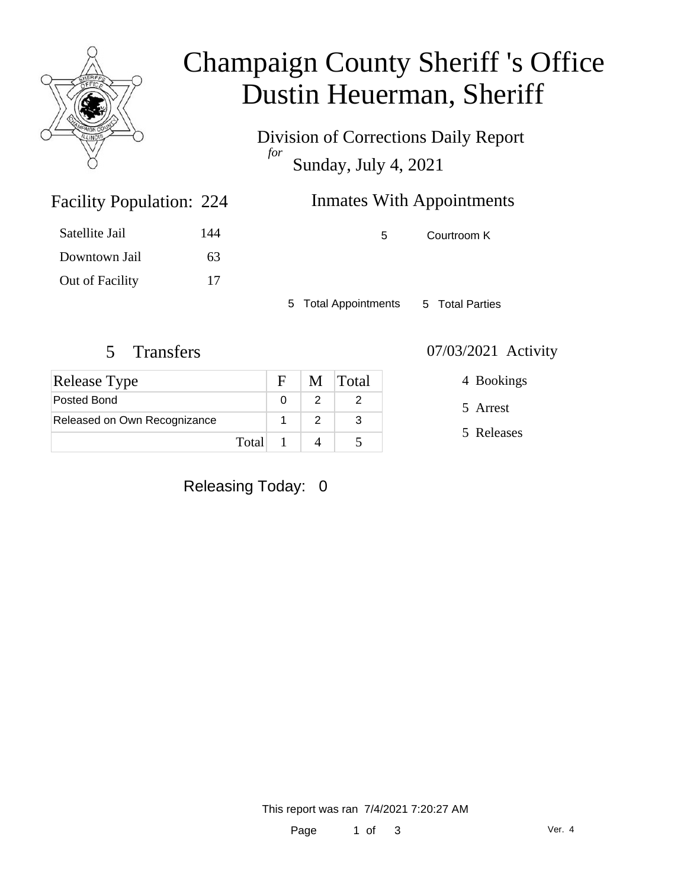

## Champaign County Sheriff 's Office Dustin Heuerman, Sheriff

Division of Corrections Daily Report *for* Sunday, July 4, 2021

| 224 | <b>Inmates With Appointments</b> |
|-----|----------------------------------|
|     |                                  |

| Satellite Jail  | 144 |
|-----------------|-----|
| Downtown Jail   | 63  |
| Out of Facility | 17  |

Facility Population: 224

5 Courtroom K

5 Total Appointments 5 Total Parties

### 5 Transfers 07/03/2021 Activity

| <b>Release Type</b>          |       |  | M Total |
|------------------------------|-------|--|---------|
| Posted Bond                  |       |  |         |
| Released on Own Recognizance |       |  |         |
|                              | Total |  |         |

4 Bookings

5 Arrest

5 Releases

Releasing Today: 0

This report was ran 7/4/2021 7:20:27 AM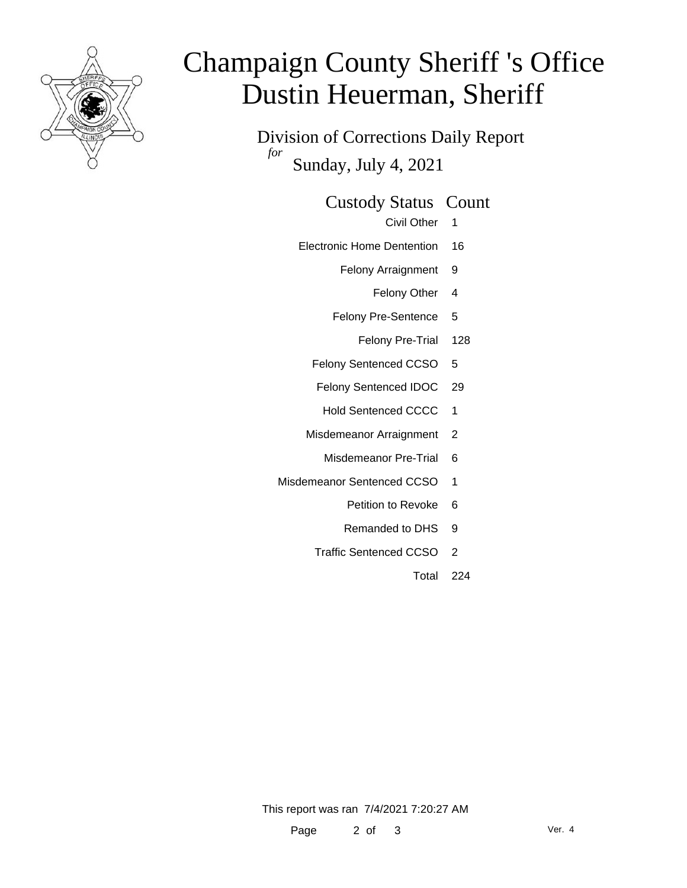

# Champaign County Sheriff 's Office Dustin Heuerman, Sheriff

Division of Corrections Daily Report *for* Sunday, July 4, 2021

#### Custody Status Count

- Civil Other 1
- Electronic Home Dentention 16
	- Felony Arraignment 9
		- Felony Other 4
	- Felony Pre-Sentence 5
		- Felony Pre-Trial 128
	- Felony Sentenced CCSO 5
	- Felony Sentenced IDOC 29
		- Hold Sentenced CCCC 1
	- Misdemeanor Arraignment 2
		- Misdemeanor Pre-Trial 6
- Misdemeanor Sentenced CCSO 1
	- Petition to Revoke 6
	- Remanded to DHS 9
	- Traffic Sentenced CCSO 2
		- Total 224

This report was ran 7/4/2021 7:20:27 AM